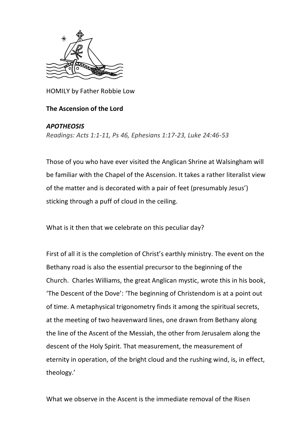

HOMILY by Father Robbie Low

## **The Ascension of the Lord**

## *APOTHEOSIS*

*Readings: Acts 1:1-11, Ps 46, Ephesians 1:17-23, Luke 24:46-53*

Those of you who have ever visited the Anglican Shrine at Walsingham will be familiar with the Chapel of the Ascension. It takes a rather literalist view of the matter and is decorated with a pair of feet (presumably Jesus') sticking through a puff of cloud in the ceiling.

What is it then that we celebrate on this peculiar day?

First of all it is the completion of Christ's earthly ministry. The event on the Bethany road is also the essential precursor to the beginning of the Church. Charles Williams, the great Anglican mystic, wrote this in his book, 'The Descent of the Dove': 'The beginning of Christendom is at a point out of time. A metaphysical trigonometry finds it among the spiritual secrets, at the meeting of two heavenward lines, one drawn from Bethany along the line of the Ascent of the Messiah, the other from Jerusalem along the descent of the Holy Spirit. That measurement, the measurement of eternity in operation, of the bright cloud and the rushing wind, is, in effect, theology.'

What we observe in the Ascent is the immediate removal of the Risen